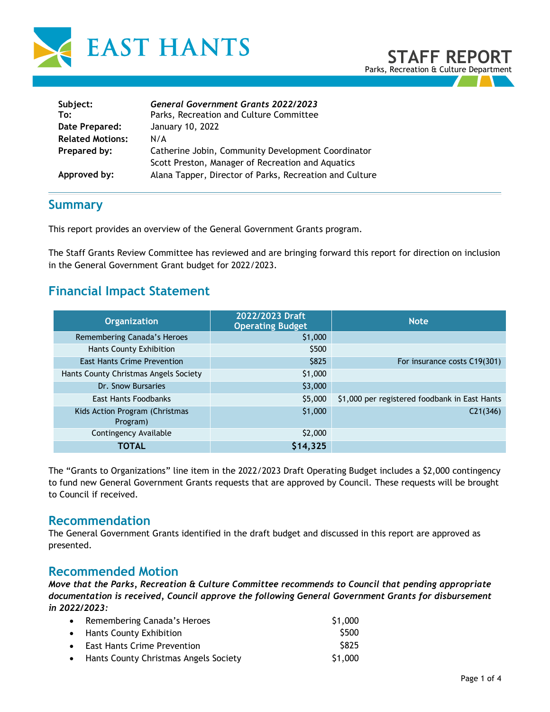

| Subject:<br>To:         | <b>General Government Grants 2022/2023</b><br>Parks, Recreation and Culture Committee                   |
|-------------------------|---------------------------------------------------------------------------------------------------------|
| Date Prepared:          | January 10, 2022                                                                                        |
| <b>Related Motions:</b> | N/A                                                                                                     |
| Prepared by:            | Catherine Jobin, Community Development Coordinator<br>Scott Preston, Manager of Recreation and Aquatics |
| Approved by:            | Alana Tapper, Director of Parks, Recreation and Culture                                                 |

## **Summary**

This report provides an overview of the General Government Grants program.

The Staff Grants Review Committee has reviewed and are bringing forward this report for direction on inclusion in the General Government Grant budget for 2022/2023.

# **Financial Impact Statement**

| <b>Organization</b>                   | 2022/2023 Draft<br><b>Operating Budget</b> | <b>Note</b>                                   |  |
|---------------------------------------|--------------------------------------------|-----------------------------------------------|--|
| Remembering Canada's Heroes           | \$1,000                                    |                                               |  |
| Hants County Exhibition               | \$500                                      |                                               |  |
| <b>East Hants Crime Prevention</b>    | \$825                                      | For insurance costs C19(301)                  |  |
| Hants County Christmas Angels Society | \$1,000                                    |                                               |  |
| Dr. Snow Bursaries                    | \$3,000                                    |                                               |  |
| <b>East Hants Foodbanks</b>           | \$5,000                                    | \$1,000 per registered foodbank in East Hants |  |
| Kids Action Program (Christmas        | \$1,000                                    | C21(346)                                      |  |
| Program)                              |                                            |                                               |  |
| Contingency Available                 | \$2,000                                    |                                               |  |
| TOTAL                                 | \$14,325                                   |                                               |  |

The "Grants to Organizations" line item in the 2022/2023 Draft Operating Budget includes a \$2,000 contingency to fund new General Government Grants requests that are approved by Council. These requests will be brought to Council if received.

### **Recommendation**

The General Government Grants identified in the draft budget and discussed in this report are approved as presented.

## **Recommended Motion**

*Move that the Parks, Recreation & Culture Committee recommends to Council that pending appropriate documentation is received, Council approve the following General Government Grants for disbursement in 2022/2023:*

| • Remembering Canada's Heroes           | \$1,000 |
|-----------------------------------------|---------|
| • Hants County Exhibition               | \$500   |
| • East Hants Crime Prevention           | S825    |
| • Hants County Christmas Angels Society | S1,000  |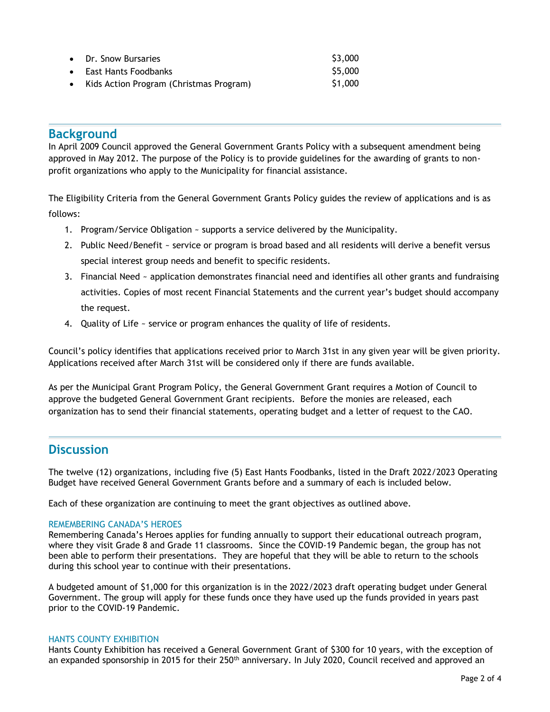| • Dr. Snow Bursaries                      | \$3,000 |
|-------------------------------------------|---------|
| • East Hants Foodbanks                    | \$5,000 |
| • Kids Action Program (Christmas Program) | \$1,000 |

### **Background**

In April 2009 Council approved the General Government Grants Policy with a subsequent amendment being approved in May 2012. The purpose of the Policy is to provide guidelines for the awarding of grants to nonprofit organizations who apply to the Municipality for financial assistance.

The Eligibility Criteria from the General Government Grants Policy guides the review of applications and is as follows:

- 1. Program/Service Obligation ~ supports a service delivered by the Municipality.
- 2. Public Need/Benefit ~ service or program is broad based and all residents will derive a benefit versus special interest group needs and benefit to specific residents.
- 3. Financial Need ~ application demonstrates financial need and identifies all other grants and fundraising activities. Copies of most recent Financial Statements and the current year's budget should accompany the request.
- 4. Quality of Life ~ service or program enhances the quality of life of residents.

Council's policy identifies that applications received prior to March 31st in any given year will be given priority. Applications received after March 31st will be considered only if there are funds available.

As per the Municipal Grant Program Policy, the General Government Grant requires a Motion of Council to approve the budgeted General Government Grant recipients. Before the monies are released, each organization has to send their financial statements, operating budget and a letter of request to the CAO.

## **Discussion**

The twelve (12) organizations, including five (5) East Hants Foodbanks, listed in the Draft 2022/2023 Operating Budget have received General Government Grants before and a summary of each is included below.

Each of these organization are continuing to meet the grant objectives as outlined above.

#### REMEMBERING CANADA'S HEROES

Remembering Canada's Heroes applies for funding annually to support their educational outreach program, where they visit Grade 8 and Grade 11 classrooms. Since the COVID-19 Pandemic began, the group has not been able to perform their presentations. They are hopeful that they will be able to return to the schools during this school year to continue with their presentations.

A budgeted amount of \$1,000 for this organization is in the 2022/2023 draft operating budget under General Government. The group will apply for these funds once they have used up the funds provided in years past prior to the COVID-19 Pandemic.

#### HANTS COUNTY EXHIBITION

Hants County Exhibition has received a General Government Grant of \$300 for 10 years, with the exception of an expanded sponsorship in 2015 for their 250<sup>th</sup> anniversary. In July 2020, Council received and approved an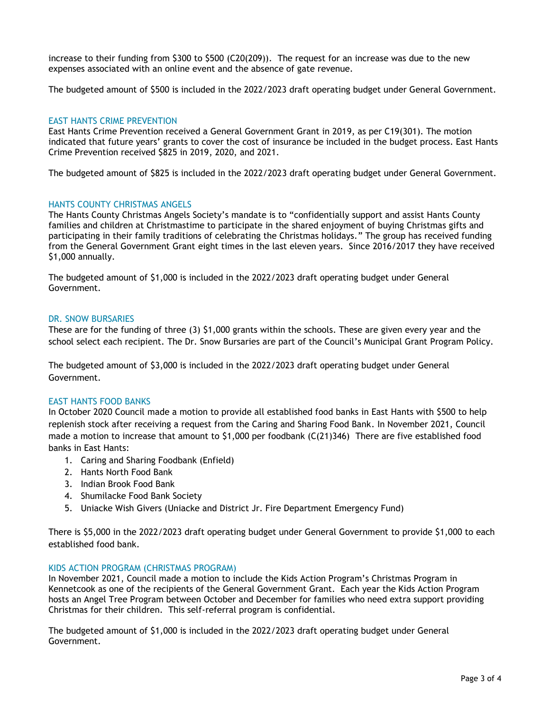increase to their funding from \$300 to \$500 (C20(209)). The request for an increase was due to the new expenses associated with an online event and the absence of gate revenue.

The budgeted amount of \$500 is included in the 2022/2023 draft operating budget under General Government.

#### EAST HANTS CRIME PREVENTION

East Hants Crime Prevention received a General Government Grant in 2019, as per C19(301). The motion indicated that future years' grants to cover the cost of insurance be included in the budget process. East Hants Crime Prevention received \$825 in 2019, 2020, and 2021.

The budgeted amount of \$825 is included in the 2022/2023 draft operating budget under General Government.

#### HANTS COUNTY CHRISTMAS ANGELS

The Hants County Christmas Angels Society's mandate is to "confidentially support and assist Hants County families and children at Christmastime to participate in the shared enjoyment of buying Christmas gifts and participating in their family traditions of celebrating the Christmas holidays." The group has received funding from the General Government Grant eight times in the last eleven years. Since 2016/2017 they have received \$1,000 annually.

The budgeted amount of \$1,000 is included in the 2022/2023 draft operating budget under General Government.

#### DR. SNOW BURSARIES

These are for the funding of three (3) \$1,000 grants within the schools. These are given every year and the school select each recipient. The Dr. Snow Bursaries are part of the Council's Municipal Grant Program Policy.

The budgeted amount of \$3,000 is included in the 2022/2023 draft operating budget under General Government.

#### EAST HANTS FOOD BANKS

In October 2020 Council made a motion to provide all established food banks in East Hants with \$500 to help replenish stock after receiving a request from the Caring and Sharing Food Bank. In November 2021, Council made a motion to increase that amount to \$1,000 per foodbank (C(21)346) There are five established food banks in East Hants:

- 1. Caring and Sharing Foodbank (Enfield)
- 2. Hants North Food Bank
- 3. Indian Brook Food Bank
- 4. Shumilacke Food Bank Society
- 5. Uniacke Wish Givers (Uniacke and District Jr. Fire Department Emergency Fund)

There is \$5,000 in the 2022/2023 draft operating budget under General Government to provide \$1,000 to each established food bank.

#### KIDS ACTION PROGRAM (CHRISTMAS PROGRAM)

In November 2021, Council made a motion to include the Kids Action Program's Christmas Program in Kennetcook as one of the recipients of the General Government Grant. Each year the Kids Action Program hosts an Angel Tree Program between October and December for families who need extra support providing Christmas for their children. This self-referral program is confidential.

The budgeted amount of \$1,000 is included in the 2022/2023 draft operating budget under General Government.